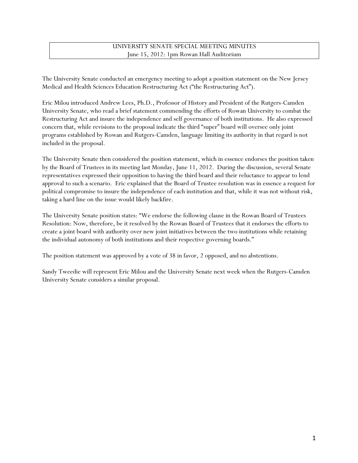## UNIVERSITY SENATE SPECIAL MEETING MINUTES June 15, 2012: 1pm Rowan Hall Auditorium

The University Senate conducted an emergency meeting to adopt a position statement on the New Jersey Medical and Health Sciences Education Restructuring Act ("the Restructuring Act").

Eric Milou introduced Andrew Lees, Ph.D., Professor of History and President of the Rutgers-Camden University Senate, who read a brief statement commending the efforts of Rowan University to combat the Restructuring Act and insure the independence and self governance of both institutions. He also expressed concern that, while revisions to the proposal indicate the third "super" board will oversee only joint programs established by Rowan and Rutgers-Camden, language limiting its authority in that regard is not included in the proposal.

The University Senate then considered the position statement, which in essence endorses the position taken by the Board of Trustees in its meeting last Monday, June 11, 2012. During the discussion, several Senate representatives expressed their opposition to having the third board and their reluctance to appear to lend approval to such a scenario. Eric explained that the Board of Trustee resolution was in essence a request for political compromise to insure the independence of each institution and that, while it was not without risk, taking a hard line on the issue would likely backfire.

The University Senate position states: "We endorse the following clause in the Rowan Board of Trustees Resolution: Now, therefore, be it resolved by the Rowan Board of Trustees that it endorses the efforts to create a joint board with authority over new joint initiatives between the two institutions while retaining the individual autonomy of both institutions and their respective governing boards."

The position statement was approved by a vote of 38 in favor, 2 opposed, and no abstentions.

Sandy Tweedie will represent Eric Milou and the University Senate next week when the Rutgers-Camden University Senate considers a similar proposal.